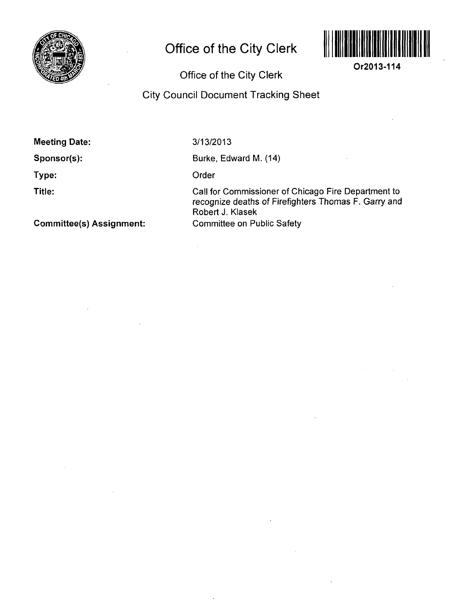

## **Office of the City Clerk**



**Or2013-114** 

Office of the City Clerk

## City Council Document Tracking Sheet

Meeting Date:

Sponsor(s):

Type:

Title:

Committee(s) Assignment:

3/13/2013

Burke, Edward M. (14)

Order

 $\mathcal{L}$ 

Call for Commissioner of Chicago Fire Department to recognize deaths of Firefighters Thomas F. Garry and Robert J. Klasek Committee on Public Safety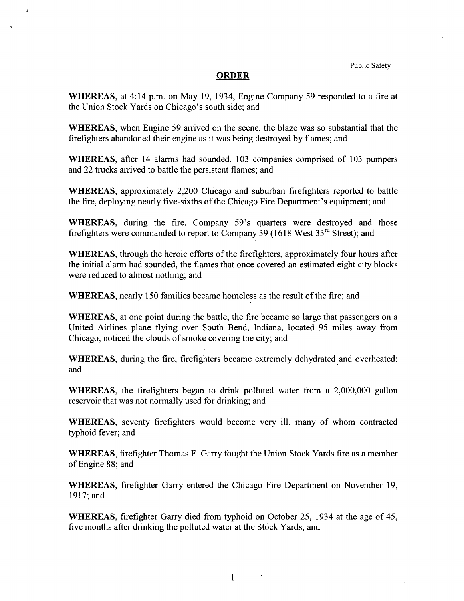## **ORDER**

WHEREAS, at 4:14 p.m. on May 19, 1934, Engine Company 59 responded to a fire at the Union Stock Yards on Chicago's south side; and

WHEREAS, when Engine 59 arrived on the scene, the blaze was so substantial that the firefighters abandoned their engine as it was being destroyed by flames; and

WHEREAS, after 14 alarms had sounded, 103 companies comprised of 103 pumpers and 22 trucks arrived to battle the persistent flames; and

WHEREAS, approximately 2,200 Chicago and suburban firefighters reported to battle the fire, deploying nearly five-sixths of the Chicago Fire Department's equipment; and

WHEREAS, during the fire, Company 59's quarters were destroyed and those firefighters were commanded to report to Company 39 (1618 West  $33<sup>rd</sup>$  Street); and

WHEREAS, through the heroic efforts of the firefighters, approximately four hours after the initial alarm had sounded, the flames that once covered an estimated eight city blocks were reduced to almost nothing; and

WHEREAS, nearly 150 families became homeless as the result of the fire; and

WHEREAS, at one point during the battle, the fire became so large that passengers on a United Airlines plane flying over South Bend, Indiana, located 95 miles away from Chicago, noticed the clouds of smoke covering the city; and

WHEREAS, during the fire, firefighters became extremely dehydrated and overheated; and

WHEREAS, the firefighters began to drink polluted water from a 2,000,000 gallon reservoir that was not normally used for drinking; and

WHEREAS, seventy firefighters would become very ill, many of whom contracted typhoid fever; and

WHEREAS, firefighter Thomas F. Garry fought the Union Stock Yards fire as a member of Engine 88; and

WHEREAS, firefighter Garry entered the Chicago Fire Department on November 19, 1917;and

WHEREAS, firefighter Garry died from typhoid on October 25, 1934 at the age of 45, five months after drinking the polluted water at the Stock Yards; and

 $\mathbf{1}$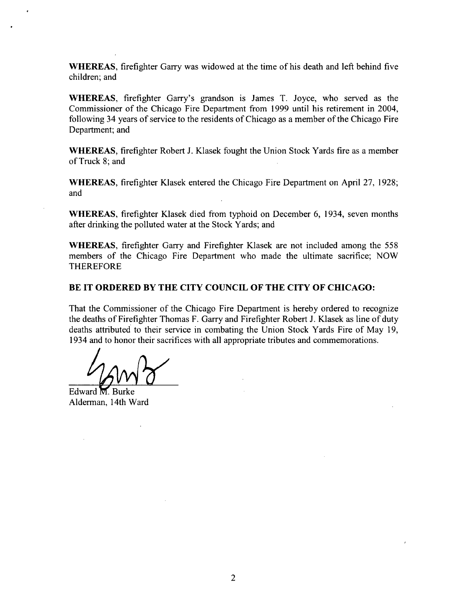WHEREAS, firefighter Garry was widowed at the fime of his death and left behind five children; and

WHEREAS, firefighter Garry's grandson is James T. Joyce, who served as the Commissioner of the Chicago Fire Department from 1999 until his retirement in 2004, following 34 years of service to the residents of Chicago as a member of the Chicago Fire Department; and

WHEREAS, firefighter Robert J. Klasek fought the Union Stock Yards fire as a member of Truck 8; and

WHEREAS, firefighter Klasek entered the Chicago Fire Department on April 27, 1928; and

WHEREAS, firefighter Klasek died from typhoid on December 6, 1934, seven months after drinking the polluted water at the Stock Yards; and

WHEREAS, firefighter Garry and Firefighter Klasek are not included among the 558 members of the Chicago Fire Department who made the ultimate sacrifice; NOW THEREFORE

## **BE IT ORDERED BY THE CITY COUNCIL OF THE CITY OF CHICAGO:**

That the Commissioner of the Chicago Fire Department is hereby ordered to recognize the deaths of Firefighter Thomas F. Garry and Firefighter Robert J. Klasek as line of duty deaths attributed to their service in combating the Union Stock Yards Fire of May 19, 1934 and to honor their sacrifices with all appropriate tributes and commemorations.

Edward M. Burke Alderman, 14th Ward